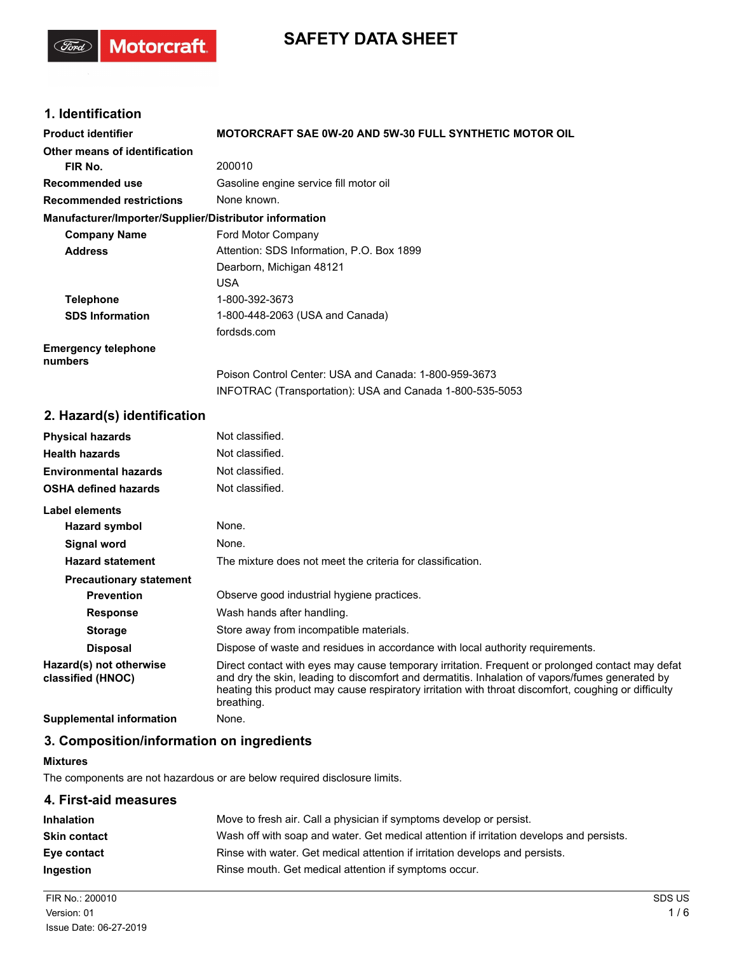# **SAFETY DATA SHEET**

## **1. Identification**

(Sord)

Motorcraft.

| <b>Product identifier</b>                              | <b>MOTORCRAFT SAE 0W-20 AND 5W-30 FULL SYNTHETIC MOTOR OIL</b> |
|--------------------------------------------------------|----------------------------------------------------------------|
| Other means of identification                          |                                                                |
| FIR No.                                                | 200010                                                         |
| Recommended use                                        | Gasoline engine service fill motor oil                         |
| <b>Recommended restrictions</b>                        | None known.                                                    |
| Manufacturer/Importer/Supplier/Distributor information |                                                                |
| <b>Company Name</b>                                    | Ford Motor Company                                             |
| <b>Address</b>                                         | Attention: SDS Information, P.O. Box 1899                      |
|                                                        | Dearborn, Michigan 48121                                       |
|                                                        | <b>USA</b>                                                     |
| <b>Telephone</b>                                       | 1-800-392-3673                                                 |
| <b>SDS Information</b>                                 | 1-800-448-2063 (USA and Canada)                                |
|                                                        | fordsds.com                                                    |
| <b>Emergency telephone</b><br>numbers                  |                                                                |
|                                                        | Poison Control Center: USA and Canada: 1-800-959-3673          |
|                                                        | INFOTRAC (Transportation): USA and Canada 1-800-535-5053       |
| 2. Hazard(s) identification                            |                                                                |
| <b>Physical hazards</b>                                | Not classified.                                                |
| <b>Health hazards</b>                                  | Not classified.                                                |
| <b>Environmental hazards</b>                           | Not classified.                                                |
| <b>OSHA defined hazards</b>                            | Not classified.                                                |
| Label elements                                         |                                                                |

| <b>Hazard symbol</b>                         | None.                                                                                                                                                                                                                                                                                                                     |
|----------------------------------------------|---------------------------------------------------------------------------------------------------------------------------------------------------------------------------------------------------------------------------------------------------------------------------------------------------------------------------|
| Signal word                                  | None.                                                                                                                                                                                                                                                                                                                     |
| <b>Hazard statement</b>                      | The mixture does not meet the criteria for classification.                                                                                                                                                                                                                                                                |
| <b>Precautionary statement</b>               |                                                                                                                                                                                                                                                                                                                           |
| <b>Prevention</b>                            | Observe good industrial hygiene practices.                                                                                                                                                                                                                                                                                |
| <b>Response</b>                              | Wash hands after handling.                                                                                                                                                                                                                                                                                                |
| <b>Storage</b>                               | Store away from incompatible materials.                                                                                                                                                                                                                                                                                   |
| <b>Disposal</b>                              | Dispose of waste and residues in accordance with local authority requirements.                                                                                                                                                                                                                                            |
| Hazard(s) not otherwise<br>classified (HNOC) | Direct contact with eyes may cause temporary irritation. Frequent or prolonged contact may defat<br>and dry the skin, leading to discomfort and dermatitis. Inhalation of vapors/fumes generated by<br>heating this product may cause respiratory irritation with throat discomfort, coughing or difficulty<br>breathing. |
| Orangel and a set of the famous of the se    | .                                                                                                                                                                                                                                                                                                                         |

**Supplemental information** None.

## **3. Composition/information on ingredients**

#### **Mixtures**

The components are not hazardous or are below required disclosure limits.

## **4. First-aid measures**

| <b>Inhalation</b>   | Move to fresh air. Call a physician if symptoms develop or persist.                      |
|---------------------|------------------------------------------------------------------------------------------|
| <b>Skin contact</b> | Wash off with soap and water. Get medical attention if irritation develops and persists. |
| Eye contact         | Rinse with water. Get medical attention if irritation develops and persists.             |
| <b>Ingestion</b>    | Rinse mouth. Get medical attention if symptoms occur.                                    |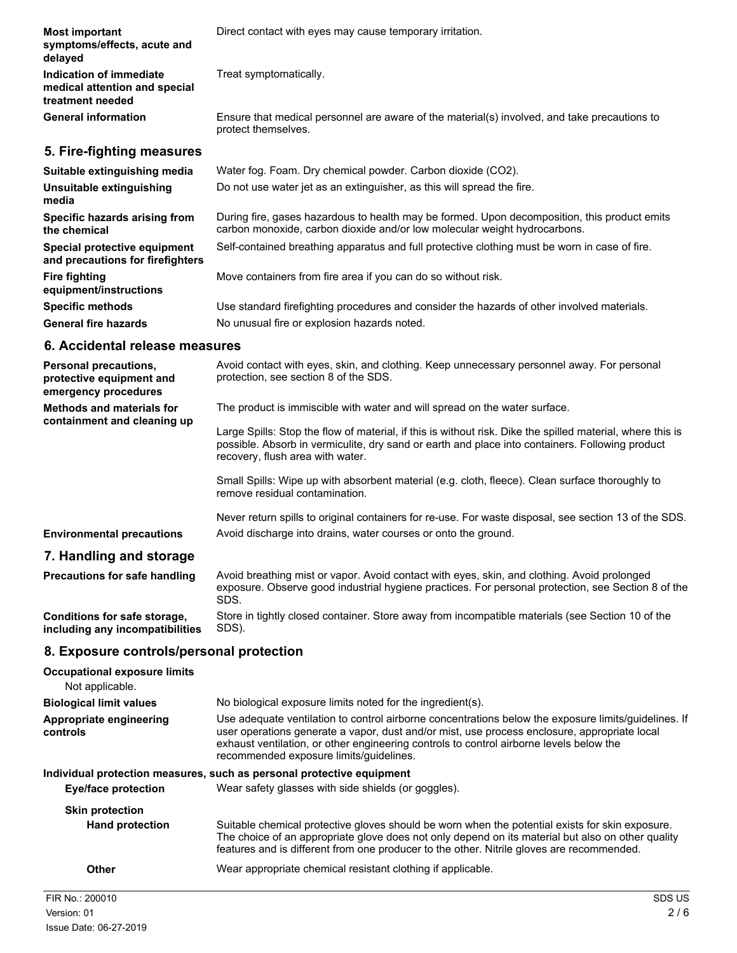| <b>Most important</b><br>symptoms/effects, acute and<br>delayed              | Direct contact with eyes may cause temporary irritation.                                                                                                                  |
|------------------------------------------------------------------------------|---------------------------------------------------------------------------------------------------------------------------------------------------------------------------|
| Indication of immediate<br>medical attention and special<br>treatment needed | Treat symptomatically.                                                                                                                                                    |
| <b>General information</b>                                                   | Ensure that medical personnel are aware of the material(s) involved, and take precautions to<br>protect themselves.                                                       |
| 5. Fire-fighting measures                                                    |                                                                                                                                                                           |
| Suitable extinguishing media                                                 | Water fog. Foam. Dry chemical powder. Carbon dioxide (CO2).                                                                                                               |
| Unsuitable extinguishing<br>media                                            | Do not use water jet as an extinguisher, as this will spread the fire.                                                                                                    |
| Specific hazards arising from<br>the chemical                                | During fire, gases hazardous to health may be formed. Upon decomposition, this product emits<br>carbon monoxide, carbon dioxide and/or low molecular weight hydrocarbons. |
| Special protective equipment<br>and precautions for firefighters             | Self-contained breathing apparatus and full protective clothing must be worn in case of fire.                                                                             |
| <b>Fire fighting</b><br>equipment/instructions                               | Move containers from fire area if you can do so without risk.                                                                                                             |
| <b>Specific methods</b>                                                      | Use standard firefighting procedures and consider the hazards of other involved materials.                                                                                |
| <b>General fire hazards</b>                                                  | No unusual fire or explosion hazards noted.                                                                                                                               |
| 6. Accidental release measures                                               |                                                                                                                                                                           |

| <b>Personal precautions,</b><br>protective equipment and<br>emergency procedures | Avoid contact with eyes, skin, and clothing. Keep unnecessary personnel away. For personal<br>protection, see section 8 of the SDS.                                                                                                               |
|----------------------------------------------------------------------------------|---------------------------------------------------------------------------------------------------------------------------------------------------------------------------------------------------------------------------------------------------|
| <b>Methods and materials for</b><br>containment and cleaning up                  | The product is immiscible with water and will spread on the water surface.                                                                                                                                                                        |
|                                                                                  | Large Spills: Stop the flow of material, if this is without risk. Dike the spilled material, where this is<br>possible. Absorb in vermiculite, dry sand or earth and place into containers. Following product<br>recovery, flush area with water. |
|                                                                                  | Small Spills: Wipe up with absorbent material (e.g. cloth, fleece). Clean surface thoroughly to<br>remove residual contamination.                                                                                                                 |
|                                                                                  | Never return spills to original containers for re-use. For waste disposal, see section 13 of the SDS.                                                                                                                                             |
| <b>Environmental precautions</b>                                                 | Avoid discharge into drains, water courses or onto the ground.                                                                                                                                                                                    |
| 7. Handling and storage                                                          |                                                                                                                                                                                                                                                   |
| <b>Precautions for safe handling</b>                                             | Avoid breathing mist or vapor. Avoid contact with eyes, skin, and clothing. Avoid prolonged<br>exposure. Observe good industrial hygiene practices. For personal protection, see Section 8 of the<br>SDS.                                         |

Store in tightly closed container. Store away from incompatible materials (see Section 10 of the SDS). **Conditions for safe storage, including any incompatibilities**

## **8. Exposure controls/personal protection**

| <b>Occupational exposure limits</b><br>Not applicable. |                                                                                                                                                                                                                                                                                                                                            |  |
|--------------------------------------------------------|--------------------------------------------------------------------------------------------------------------------------------------------------------------------------------------------------------------------------------------------------------------------------------------------------------------------------------------------|--|
| <b>Biological limit values</b>                         | No biological exposure limits noted for the ingredient(s).                                                                                                                                                                                                                                                                                 |  |
| Appropriate engineering<br>controls                    | Use adequate ventilation to control airborne concentrations below the exposure limits/guidelines. If<br>user operations generate a vapor, dust and/or mist, use process enclosure, appropriate local<br>exhaust ventilation, or other engineering controls to control airborne levels below the<br>recommended exposure limits/guidelines. |  |
|                                                        | Individual protection measures, such as personal protective equipment                                                                                                                                                                                                                                                                      |  |
| Eye/face protection                                    | Wear safety glasses with side shields (or goggles).                                                                                                                                                                                                                                                                                        |  |
| <b>Skin protection</b>                                 |                                                                                                                                                                                                                                                                                                                                            |  |
| <b>Hand protection</b>                                 | Suitable chemical protective gloves should be worn when the potential exists for skin exposure.<br>The choice of an appropriate glove does not only depend on its material but also on other quality<br>features and is different from one producer to the other. Nitrile gloves are recommended.                                          |  |
| Other                                                  | Wear appropriate chemical resistant clothing if applicable.                                                                                                                                                                                                                                                                                |  |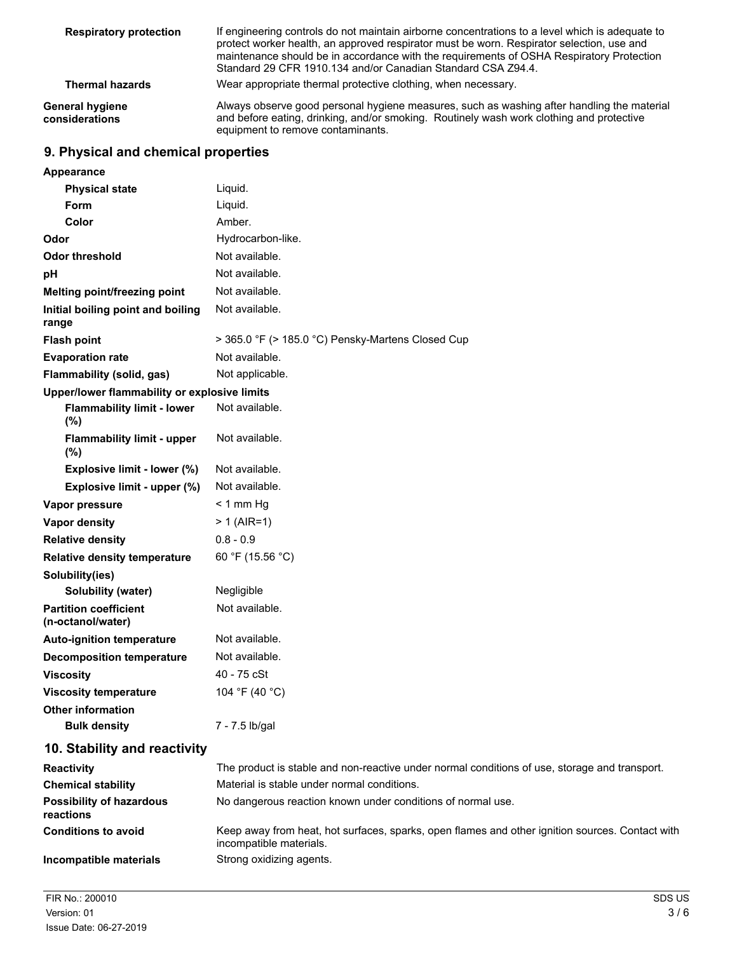| <b>Respiratory protection</b>     | If engineering controls do not maintain airborne concentrations to a level which is adequate to<br>protect worker health, an approved respirator must be worn. Respirator selection, use and<br>maintenance should be in accordance with the requirements of OSHA Respiratory Protection<br>Standard 29 CFR 1910.134 and/or Canadian Standard CSA Z94.4. |
|-----------------------------------|----------------------------------------------------------------------------------------------------------------------------------------------------------------------------------------------------------------------------------------------------------------------------------------------------------------------------------------------------------|
| <b>Thermal hazards</b>            | Wear appropriate thermal protective clothing, when necessary.                                                                                                                                                                                                                                                                                            |
| General hygiene<br>considerations | Always observe good personal hygiene measures, such as washing after handling the material<br>and before eating, drinking, and/or smoking. Routinely wash work clothing and protective<br>equipment to remove contaminants.                                                                                                                              |

## **9. Physical and chemical properties**

| <b>Appearance</b>                                 |                                                                                               |
|---------------------------------------------------|-----------------------------------------------------------------------------------------------|
| <b>Physical state</b>                             | Liquid.                                                                                       |
| Form                                              | Liquid.                                                                                       |
| Color                                             | Amber.                                                                                        |
| Odor                                              | Hydrocarbon-like.                                                                             |
| <b>Odor threshold</b>                             | Not available.                                                                                |
| pH                                                | Not available.                                                                                |
| Melting point/freezing point                      | Not available.                                                                                |
| Initial boiling point and boiling<br>range        | Not available.                                                                                |
| <b>Flash point</b>                                | > 365.0 °F (> 185.0 °C) Pensky-Martens Closed Cup                                             |
| <b>Evaporation rate</b>                           | Not available.                                                                                |
| Flammability (solid, gas)                         | Not applicable.                                                                               |
| Upper/lower flammability or explosive limits      |                                                                                               |
| <b>Flammability limit - lower</b><br>(%)          | Not available.                                                                                |
| <b>Flammability limit - upper</b><br>$(\%)$       | Not available.                                                                                |
| Explosive limit - lower (%)                       | Not available.                                                                                |
| Explosive limit - upper (%)                       | Not available.                                                                                |
| Vapor pressure                                    | $< 1$ mm Hg                                                                                   |
| <b>Vapor density</b>                              | $> 1$ (AIR=1)                                                                                 |
| <b>Relative density</b>                           | $0.8 - 0.9$                                                                                   |
| <b>Relative density temperature</b>               | 60 °F (15.56 °C)                                                                              |
| Solubility(ies)                                   |                                                                                               |
| Solubility (water)                                | Negligible                                                                                    |
| <b>Partition coefficient</b><br>(n-octanol/water) | Not available.                                                                                |
| <b>Auto-ignition temperature</b>                  | Not available.                                                                                |
| <b>Decomposition temperature</b>                  | Not available.                                                                                |
| <b>Viscosity</b>                                  | 40 - 75 cSt                                                                                   |
| <b>Viscosity temperature</b>                      | 104 °F (40 °C)                                                                                |
| <b>Other information</b>                          |                                                                                               |
| <b>Bulk density</b>                               | 7 - 7.5 lb/gal                                                                                |
| 10. Stability and reactivity                      |                                                                                               |
| <b>Reactivity</b>                                 | The product is stable and non-reactive under normal conditions of use, storage and transport. |
| <b>Chemical stability</b>                         | Material is stable under normal conditions.                                                   |
| <b>Possibility of hazardous</b><br>reactions      | No dangerous reaction known under conditions of normal use.                                   |

Keep away from heat, hot surfaces, sparks, open flames and other ignition sources. Contact with incompatible materials. **Conditions to avoid Incompatible materials** Strong oxidizing agents.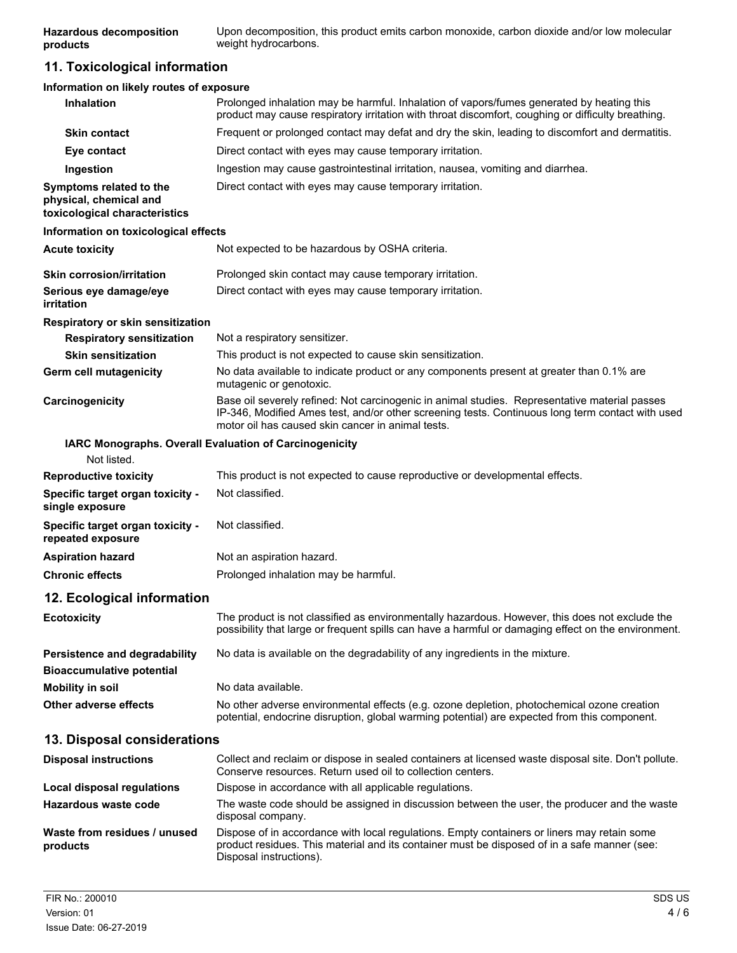Upon decomposition, this product emits carbon monoxide, carbon dioxide and/or low molecular weight hydrocarbons. **Hazardous decomposition products**

## **11. Toxicological information**

| Information on likely routes of exposure                                           |                                                                                                                                                                                                                                                        |  |
|------------------------------------------------------------------------------------|--------------------------------------------------------------------------------------------------------------------------------------------------------------------------------------------------------------------------------------------------------|--|
| <b>Inhalation</b>                                                                  | Prolonged inhalation may be harmful. Inhalation of vapors/fumes generated by heating this<br>product may cause respiratory irritation with throat discomfort, coughing or difficulty breathing.                                                        |  |
| <b>Skin contact</b>                                                                | Frequent or prolonged contact may defat and dry the skin, leading to discomfort and dermatitis.                                                                                                                                                        |  |
| Eye contact                                                                        | Direct contact with eyes may cause temporary irritation.                                                                                                                                                                                               |  |
| Ingestion                                                                          | Ingestion may cause gastrointestinal irritation, nausea, vomiting and diarrhea.                                                                                                                                                                        |  |
| Symptoms related to the<br>physical, chemical and<br>toxicological characteristics | Direct contact with eyes may cause temporary irritation.                                                                                                                                                                                               |  |
| Information on toxicological effects                                               |                                                                                                                                                                                                                                                        |  |
| <b>Acute toxicity</b>                                                              | Not expected to be hazardous by OSHA criteria.                                                                                                                                                                                                         |  |
| <b>Skin corrosion/irritation</b>                                                   | Prolonged skin contact may cause temporary irritation.                                                                                                                                                                                                 |  |
| Serious eye damage/eye<br>irritation                                               | Direct contact with eyes may cause temporary irritation.                                                                                                                                                                                               |  |
| <b>Respiratory or skin sensitization</b>                                           |                                                                                                                                                                                                                                                        |  |
| <b>Respiratory sensitization</b>                                                   | Not a respiratory sensitizer.                                                                                                                                                                                                                          |  |
| <b>Skin sensitization</b>                                                          | This product is not expected to cause skin sensitization.                                                                                                                                                                                              |  |
| Germ cell mutagenicity                                                             | No data available to indicate product or any components present at greater than 0.1% are<br>mutagenic or genotoxic.                                                                                                                                    |  |
| Carcinogenicity                                                                    | Base oil severely refined: Not carcinogenic in animal studies. Representative material passes<br>IP-346, Modified Ames test, and/or other screening tests. Continuous long term contact with used<br>motor oil has caused skin cancer in animal tests. |  |
| IARC Monographs. Overall Evaluation of Carcinogenicity<br>Not listed.              |                                                                                                                                                                                                                                                        |  |
| <b>Reproductive toxicity</b>                                                       | This product is not expected to cause reproductive or developmental effects.                                                                                                                                                                           |  |
| Specific target organ toxicity -<br>single exposure                                | Not classified.                                                                                                                                                                                                                                        |  |
| Specific target organ toxicity -<br>repeated exposure                              | Not classified.                                                                                                                                                                                                                                        |  |
| <b>Aspiration hazard</b>                                                           | Not an aspiration hazard.                                                                                                                                                                                                                              |  |
| <b>Chronic effects</b>                                                             | Prolonged inhalation may be harmful.                                                                                                                                                                                                                   |  |
| 12. Ecological information                                                         |                                                                                                                                                                                                                                                        |  |
| <b>Ecotoxicity</b>                                                                 | The product is not classified as environmentally hazardous. However, this does not exclude the<br>possibility that large or frequent spills can have a harmful or damaging effect on the environment.                                                  |  |
| Persistence and degradability<br><b>Bioaccumulative potential</b>                  | No data is available on the degradability of any ingredients in the mixture.                                                                                                                                                                           |  |
| <b>Mobility in soil</b>                                                            | No data available.                                                                                                                                                                                                                                     |  |
| Other adverse effects                                                              | No other adverse environmental effects (e.g. ozone depletion, photochemical ozone creation<br>potential, endocrine disruption, global warming potential) are expected from this component.                                                             |  |
| 13. Disposal considerations                                                        |                                                                                                                                                                                                                                                        |  |
| <b>Disposal instructions</b>                                                       | Collect and reclaim or dispose in sealed containers at licensed waste disposal site. Don't pollute.<br>Conserve resources. Return used oil to collection centers.                                                                                      |  |
| <b>Local disposal regulations</b>                                                  | Dispose in accordance with all applicable regulations.                                                                                                                                                                                                 |  |
| Hazardous waste code                                                               | The waste code should be assigned in discussion between the user, the producer and the waste<br>disposal company.                                                                                                                                      |  |
| Waste from residues / unused<br>products                                           | Dispose of in accordance with local regulations. Empty containers or liners may retain some<br>product residues. This material and its container must be disposed of in a safe manner (see:<br>Disposal instructions).                                 |  |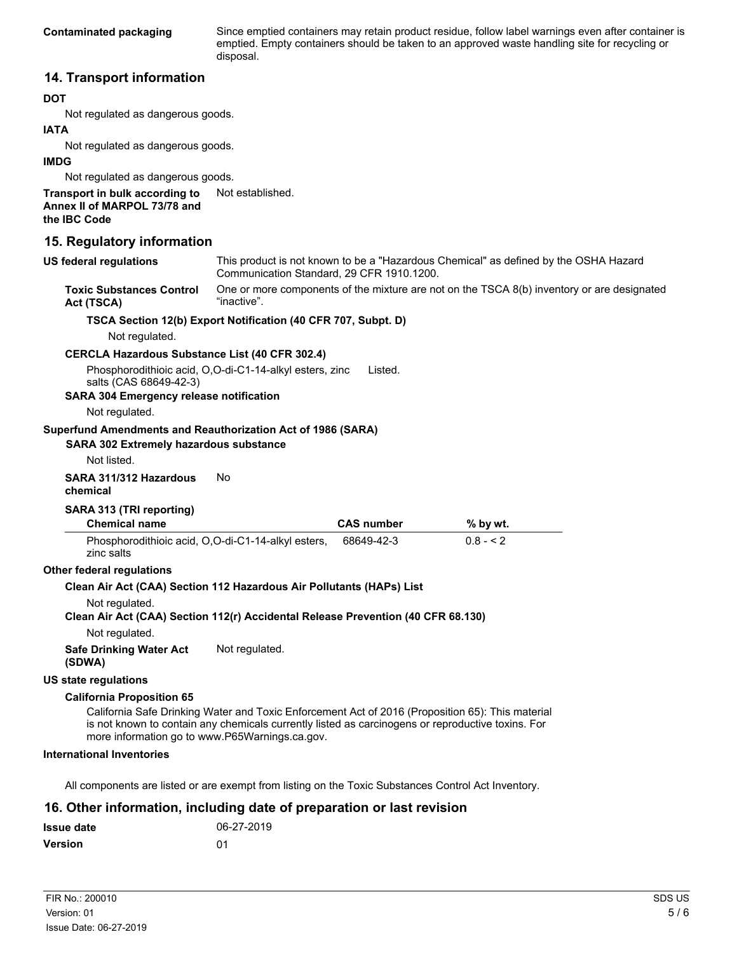Since emptied containers may retain product residue, follow label warnings even after container is emptied. Empty containers should be taken to an approved waste handling site for recycling or disposal.

## **14. Transport information**

#### **DOT**

Not regulated as dangerous goods.

#### **IATA**

Not regulated as dangerous goods.

#### **IMDG**

Not regulated as dangerous goods.

#### **Transport in bulk according to** Not established. **Annex II of MARPOL 73/78 and the IBC Code**

# **15. Regulatory information**

| US federal regulations | This product is not known to be a "Hazardous Chemical" as defined by the OSHA Hazard<br>Communication Standard, 29 CFR 1910.1200. |
|------------------------|-----------------------------------------------------------------------------------------------------------------------------------|
|                        |                                                                                                                                   |

One or more components of the mixture are not on the TSCA 8(b) inventory or are designated "inactive". **Toxic Substances Control Act (TSCA)**

#### **TSCA Section 12(b) Export Notification (40 CFR 707, Subpt. D)**

Not regulated.

#### **CERCLA Hazardous Substance List (40 CFR 302.4)**

Phosphorodithioic acid, O,O-di-C1-14-alkyl esters, zinc salts (CAS 68649-42-3) Listed.

**SARA 304 Emergency release notification**

Not regulated.

#### **Superfund Amendments and Reauthorization Act of 1986 (SARA)**

#### **SARA 302 Extremely hazardous substance**

Not listed.

#### **SARA 311/312 Hazardous** No **chemical**

### **SARA 313 (TRI reporting)**

| <b>Chemical name</b>                                             | <b>CAS number</b> | $%$ by wt. |  |
|------------------------------------------------------------------|-------------------|------------|--|
| Phosphorodithioic acid, O,O-di-C1-14-alkyl esters,<br>zinc salts | 68649-42-3        | $0.8 - 2$  |  |

#### **Other federal regulations**

### **Clean Air Act (CAA) Section 112 Hazardous Air Pollutants (HAPs) List**

Not regulated.

#### **Clean Air Act (CAA) Section 112(r) Accidental Release Prevention (40 CFR 68.130)** Not regulated.

**Safe Drinking Water Act** Not regulated. **(SDWA)**

#### **US state regulations**

#### **California Proposition 65**

California Safe Drinking Water and Toxic Enforcement Act of 2016 (Proposition 65): This material is not known to contain any chemicals currently listed as carcinogens or reproductive toxins. For more information go to www.P65Warnings.ca.gov.

#### **International Inventories**

All components are listed or are exempt from listing on the Toxic Substances Control Act Inventory.

## **16. Other information, including date of preparation or last revision**

| <b>Issue date</b> | 06-27-2019    |
|-------------------|---------------|
| <b>Version</b>    | <sup>01</sup> |